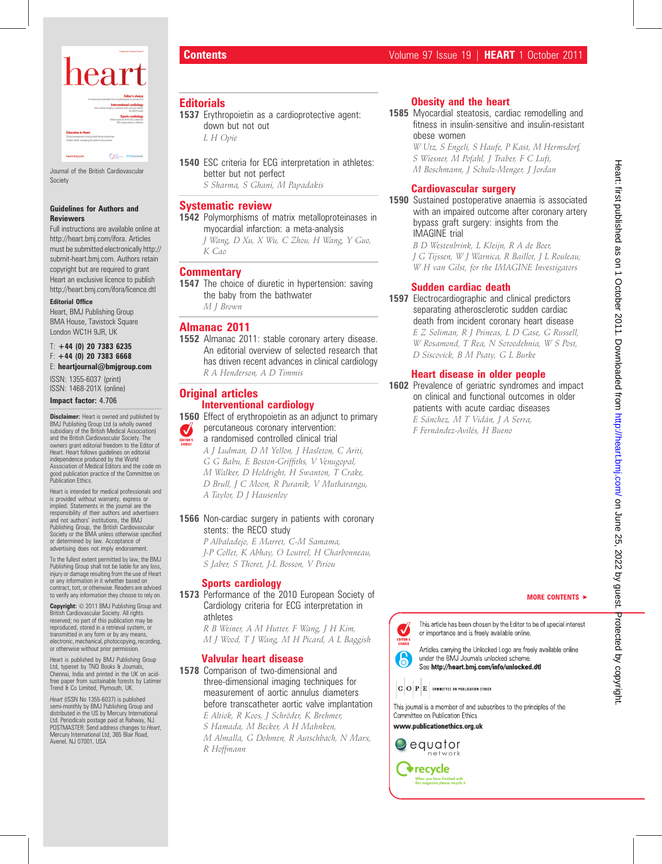

Journal of the British Cardiovascular Society

#### Guidelines for Authors and Reviewers

Full instructions are available online at http://heart.bmj.com/ifora. Articles must be submitted electronically http:// submit-heart.bmj.com. Authors retain copyright but are required to grant Heart an exclusive licence to publish http://heart.bmj.com/ifora/licence.dtl

## Editorial Office

Heart, BMJ Publishing Group BMA House, Tavistock Square London WC1H 9JR, UK

#### $T: +44$  (0) 20 7383 6235  $F: +44$  (0) 20 7383 6668 E: heartjournal@bmjgroup.com

ISSN: 1355-6037 (print) ISSN: 1468-201X (online)

#### Impact factor: 4.706

**Disclaimer:** Heart is owned and published by BMJ Publishing Group Ltd (a wholly owned subsidiary of the British Medical Association) and the British Cardiovascular Society. The owners grant editorial freedom to the Editor of Heart. Heart follows guidelines on editorial independence produced by the World Association of Medical Editors and the code on good publication practice of the Committee on Publication Ethics.

Heart is intended for medical professionals and is provided without warranty, express or implied. Statements in the journal are the responsibility of their authors and advertisers and not authors' institutions, the BMJ Publishing Group, the British Cardiovascular Society or the BMA unless otherwise specified or determined by law. Acceptance of advertising does not imply endorsement

To the fullest extent permitted by law, the BMJ Publishing Group shall not be liable for any loss, injury or damage resulting from the use of Heart or any information in it whether based on contract, tort, or otherwise. Readers are advised to verify any information they choose to rely on.

Copyright: © 2011 BMJ Publishing Group and British Cardiovascular Society. All rights reserved; no part of this publication may be reproduced, stored in a retrieval system, or transmitted in any form or by any means, electronic, mechanical, photocopying, recording, or otherwise without prior permission.

Heart is published by BMJ Publishing Group Ltd, typeset by TNQ Books & Journals, Chennai, India and printed in the UK on acidfree paper from sustainable forests by Latimer Trend & Co Limited, Plymouth, UK.

Heart (ISSN No 1355-6037) is published semi-monthly by BMJ Publishing Group and distributed in the US by Mercury International Ltd. Periodicals postage paid at Rahway, NJ. POSTMASTER: Send address changes to Heart, Mercury International Ltd, 365 Blair Road, Avenel, NJ 07001, USA

# **Editorials**

- 1537 Erythropoietin as a cardioprotective agent: down but not out L H Opie
- 1540 ESC criteria for ECG interpretation in athletes: better but not perfect S Sharma, S Ghani, M Papadakis

## Systematic review

1542 Polymorphisms of matrix metalloproteinases in myocardial infarction: a meta-analysis

J Wang, D Xu, X Wu, C Zhou, H Wang, Y Guo, K Cao

## **Commentary**

1547 The choice of diuretic in hypertension: saving the baby from the bathwater M J Brown

## Almanac 2011

1552 Almanac 2011: stable coronary artery disease. An editorial overview of selected research that has driven recent advances in clinical cardiology R A Henderson, A D Timmis

# **Original articles** Interventional cardiology

1560 Effect of erythropoietin as an adjunct to primary percutaneous coronary intervention: V

- a randomised controlled clinical trial
	- A J Ludman, D M Yellon, J Hasleton, C Ariti, G G Babu, E Boston-Griffiths, V Venugopal, M Walker, D Holdright, H Swanton, T Crake, D Brull, J C Moon, R Puranik, V Mutharangu, A Taylor, D J Hausenloy

### 1566 Non-cardiac surgery in patients with coronary stents: the RECO study

P Albaladejo, E Marret, C-M Samama, J-P Collet, K Abhay, O Loutrel, H Charbonneau, S Jaber, S Thoret, J-L Bosson, V Piriou

## Sports cardiology

1573 Performance of the 2010 European Society of Cardiology criteria for ECG interpretation in athletes

R B Weiner, A M Hutter, F Wang, J H Kim, M J Wood, T J Wang, M H Picard, A L Baggish

### Valvular heart disease

R Hoffmann

1578 Comparison of two-dimensional and three-dimensional imaging techniques for measurement of aortic annulus diameters before transcatheter aortic valve implantation

E Altiok, R Koos, J Schröder, K Brehmer, S Hamada, M Becker, A H Mahnken, M Almalla, G Dohmen, R Autschbach, N Marx,

# Obesity and the heart

1585 Myocardial steatosis, cardiac remodelling and fitness in insulin-sensitive and insulin-resistant obese women

> W Utz, S Engeli, S Haufe, P Kast, M Hermsdorf, S Wiesner, M Pofahl, J Traber, F C Luft, M Boschmann, J Schulz-Menger, J Jordan

# Cardiovascular surgery

1590 Sustained postoperative anaemia is associated with an impaired outcome after coronary artery bypass graft surgery: insights from the IMAGINE trial

> B D Westenbrink, L Kleijn, R A de Boer, J G Tijssen, W J Warnica, R Baillot, J L Rouleau, W H van Gilst, for the IMAGINE Investigators

# Sudden cardiac death

1597 Electrocardiographic and clinical predictors separating atherosclerotic sudden cardiac death from incident coronary heart disease E Z Soliman, R J Prineas, L D Case, G Russell, W Rosamond, T Rea, N Sotoodehnia, W S Post, D Siscovick, B M Psaty, G L Burke

# Heart disease in older people

1602 Prevalence of geriatric syndromes and impact on clinical and functional outcomes in older patients with acute cardiac diseases E Sánchez, M T Vidán, J A Serra, F Fernández-Avilés, H Bueno

MORE CONTENTS  $\blacktriangleright$ 



This article has been chosen by the Editor to be of special interest or importance and is freely available online.

Articles carrying the Unlocked Logo are freely available online under the BMJ Journals unlocked scheme. See http://heart.bmj.com/info/unlocked.dtl

 $|\mathbf{C}\,|\mathbf{O}\,|\mathbf{P}\,|\mathbf{E}\,|$  committee on publication ethics

This journal is a member of and subscribes to the principles of the Committee on Publication Ethics

www.publicationethics.org.uk